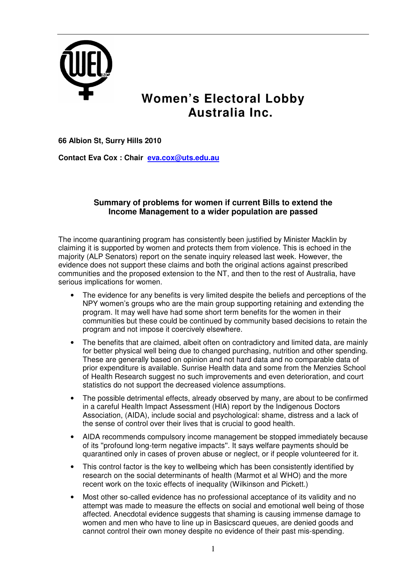

## **Women's Electoral Lobby Australia Inc.**

**66 Albion St, Surry Hills 2010** 

**Contact Eva Cox : Chair eva.cox@uts.edu.au**

## **Summary of problems for women if current Bills to extend the Income Management to a wider population are passed**

The income quarantining program has consistently been justified by Minister Macklin by claiming it is supported by women and protects them from violence. This is echoed in the majority (ALP Senators) report on the senate inquiry released last week. However, the evidence does not support these claims and both the original actions against prescribed communities and the proposed extension to the NT, and then to the rest of Australia, have serious implications for women.

- The evidence for any benefits is very limited despite the beliefs and perceptions of the NPY women's groups who are the main group supporting retaining and extending the program. It may well have had some short term benefits for the women in their communities but these could be continued by community based decisions to retain the program and not impose it coercively elsewhere.
- The benefits that are claimed, albeit often on contradictory and limited data, are mainly for better physical well being due to changed purchasing, nutrition and other spending. These are generally based on opinion and not hard data and no comparable data of prior expenditure is available. Sunrise Health data and some from the Menzies School of Health Research suggest no such improvements and even deterioration, and court statistics do not support the decreased violence assumptions.
- The possible detrimental effects, already observed by many, are about to be confirmed in a careful Health Impact Assessment (HIA) report by the Indigenous Doctors Association, (AIDA), include social and psychological: shame, distress and a lack of the sense of control over their lives that is crucial to good health.
- AIDA recommends compulsory income management be stopped immediately because of its ''profound long-term negative impacts''. It says welfare payments should be quarantined only in cases of proven abuse or neglect, or if people volunteered for it.
- This control factor is the key to wellbeing which has been consistently identified by research on the social determinants of health (Marmot et al WHO) and the more recent work on the toxic effects of inequality (Wilkinson and Pickett.)
- Most other so-called evidence has no professional acceptance of its validity and no attempt was made to measure the effects on social and emotional well being of those affected. Anecdotal evidence suggests that shaming is causing immense damage to women and men who have to line up in Basicscard queues, are denied goods and cannot control their own money despite no evidence of their past mis-spending.